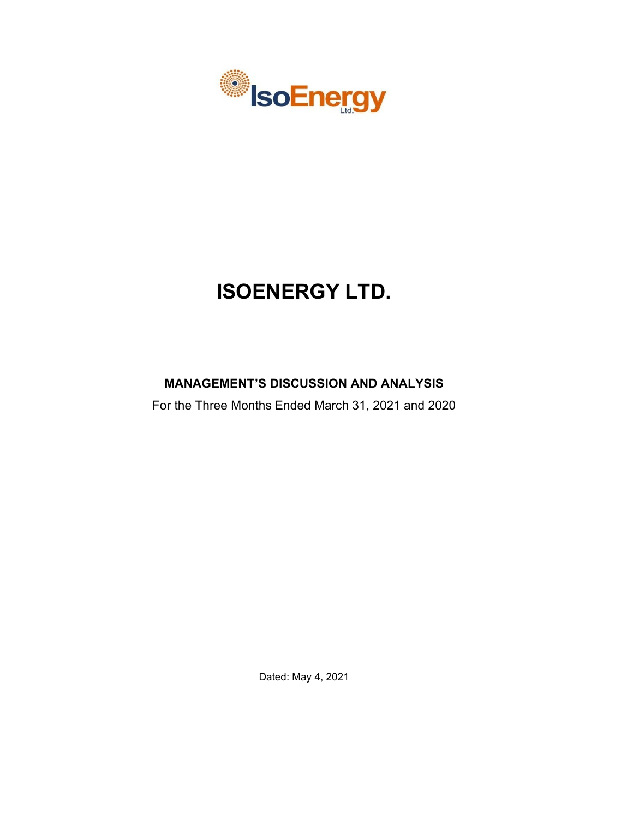

# **ISOENERGY LTD.**

# **MANAGEMENT'S DISCUSSION AND ANALYSIS**

For the Three Months Ended March 31, 2021 and 2020

Dated: May 4, 2021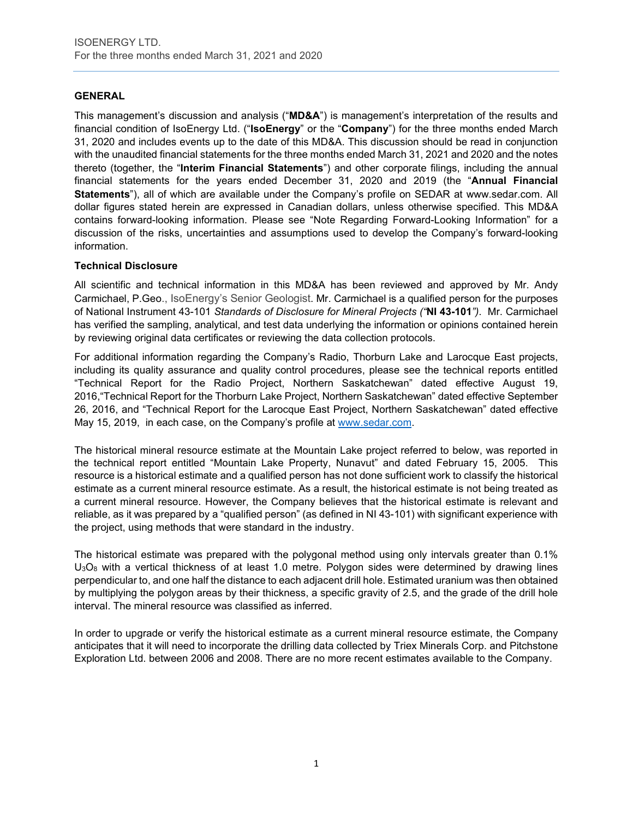# **GENERAL**

This management's discussion and analysis ("**MD&A**") is management's interpretation of the results and financial condition of IsoEnergy Ltd. ("**IsoEnergy**" or the "**Company**") for the three months ended March 31, 2020 and includes events up to the date of this MD&A. This discussion should be read in conjunction with the unaudited financial statements for the three months ended March 31, 2021 and 2020 and the notes thereto (together, the "**Interim Financial Statements**") and other corporate filings, including the annual financial statements for the years ended December 31, 2020 and 2019 (the "**Annual Financial Statements**"), all of which are available under the Company's profile on SEDAR at www.sedar.com. All dollar figures stated herein are expressed in Canadian dollars, unless otherwise specified. This MD&A contains forward-looking information. Please see "Note Regarding Forward-Looking Information" for a discussion of the risks, uncertainties and assumptions used to develop the Company's forward-looking information.

# **Technical Disclosure**

All scientific and technical information in this MD&A has been reviewed and approved by Mr. Andy Carmichael, P.Geo., IsoEnergy's Senior Geologist. Mr. Carmichael is a qualified person for the purposes of National Instrument 43-101 *Standards of Disclosure for Mineral Projects ("***NI 43-101***")*. Mr. Carmichael has verified the sampling, analytical, and test data underlying the information or opinions contained herein by reviewing original data certificates or reviewing the data collection protocols.

For additional information regarding the Company's Radio, Thorburn Lake and Larocque East projects, including its quality assurance and quality control procedures, please see the technical reports entitled "Technical Report for the Radio Project, Northern Saskatchewan" dated effective August 19, 2016,"Technical Report for the Thorburn Lake Project, Northern Saskatchewan" dated effective September 26, 2016, and "Technical Report for the Larocque East Project, Northern Saskatchewan" dated effective May 15, 2019, in each case, on the Company's profile at [www.sedar.com.](http://www.sedar.com/)

The historical mineral resource estimate at the Mountain Lake project referred to below, was reported in the technical report entitled "Mountain Lake Property, Nunavut" and dated February 15, 2005. This resource is a historical estimate and a qualified person has not done sufficient work to classify the historical estimate as a current mineral resource estimate. As a result, the historical estimate is not being treated as a current mineral resource. However, the Company believes that the historical estimate is relevant and reliable, as it was prepared by a "qualified person" (as defined in NI 43-101) with significant experience with the project, using methods that were standard in the industry.

The historical estimate was prepared with the polygonal method using only intervals greater than 0.1%  $U_3O_8$  with a vertical thickness of at least 1.0 metre. Polygon sides were determined by drawing lines perpendicular to, and one half the distance to each adjacent drill hole. Estimated uranium was then obtained by multiplying the polygon areas by their thickness, a specific gravity of 2.5, and the grade of the drill hole interval. The mineral resource was classified as inferred.

In order to upgrade or verify the historical estimate as a current mineral resource estimate, the Company anticipates that it will need to incorporate the drilling data collected by Triex Minerals Corp. and Pitchstone Exploration Ltd. between 2006 and 2008. There are no more recent estimates available to the Company.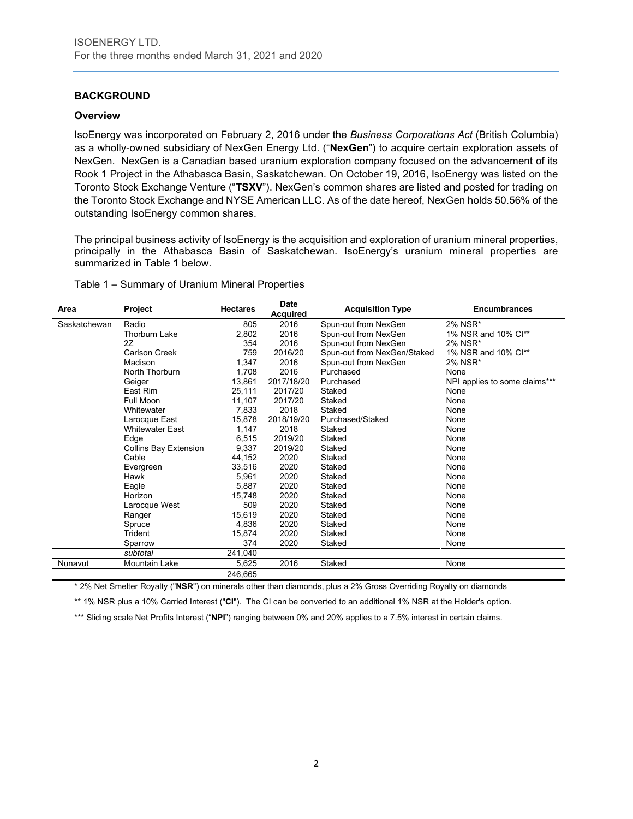# **BACKGROUND**

#### **Overview**

IsoEnergy was incorporated on February 2, 2016 under the *Business Corporations Act* (British Columbia) as a wholly-owned subsidiary of NexGen Energy Ltd. ("**NexGen**") to acquire certain exploration assets of NexGen. NexGen is a Canadian based uranium exploration company focused on the advancement of its Rook 1 Project in the Athabasca Basin, Saskatchewan. On October 19, 2016, IsoEnergy was listed on the Toronto Stock Exchange Venture ("**TSXV**"). NexGen's common shares are listed and posted for trading on the Toronto Stock Exchange and NYSE American LLC. As of the date hereof, NexGen holds 50.56% of the outstanding IsoEnergy common shares.

The principal business activity of IsoEnergy is the acquisition and exploration of uranium mineral properties, principally in the Athabasca Basin of Saskatchewan. IsoEnergy's uranium mineral properties are summarized in Table 1 below.

Table 1 – Summary of Uranium Mineral Properties

| Area         | Project                | <b>Hectares</b> | <b>Date</b><br><b>Acquired</b> | <b>Acquisition Type</b>     | <b>Encumbrances</b>           |
|--------------|------------------------|-----------------|--------------------------------|-----------------------------|-------------------------------|
| Saskatchewan | Radio                  | 805             | 2016                           | Spun-out from NexGen        | 2% NSR*                       |
|              | <b>Thorburn Lake</b>   | 2,802           | 2016                           | Spun-out from NexGen        | 1% NSR and 10% Cl**           |
|              | 2Z                     | 354             | 2016                           | Spun-out from NexGen        | 2% NSR*                       |
|              | <b>Carlson Creek</b>   | 759             | 2016/20                        | Spun-out from NexGen/Staked | 1% NSR and 10% Cl**           |
|              | Madison                | 1,347           | 2016                           | Spun-out from NexGen        | 2% NSR*                       |
|              | North Thorburn         | 1,708           | 2016                           | Purchased                   | None                          |
|              | Geiger                 | 13,861          | 2017/18/20                     | Purchased                   | NPI applies to some claims*** |
|              | East Rim               | 25,111          | 2017/20                        | Staked                      | None                          |
|              | Full Moon              | 11,107          | 2017/20                        | Staked                      | None                          |
|              | Whitewater             | 7,833           | 2018                           | Staked                      | None                          |
|              | Larocque East          | 15,878          | 2018/19/20                     | Purchased/Staked            | None                          |
|              | <b>Whitewater East</b> | 1,147           | 2018                           | Staked                      | None                          |
|              | Edge                   | 6,515           | 2019/20                        | Staked                      | None                          |
|              | Collins Bay Extension  | 9,337           | 2019/20                        | Staked                      | None                          |
|              | Cable                  | 44,152          | 2020                           | Staked                      | None                          |
|              | Evergreen              | 33,516          | 2020                           | Staked                      | None                          |
|              | Hawk                   | 5,961           | 2020                           | Staked                      | None                          |
|              | Eagle                  | 5,887           | 2020                           | Staked                      | None                          |
|              | Horizon                | 15,748          | 2020                           | Staked                      | None                          |
|              | Larocque West          | 509             | 2020                           | Staked                      | None                          |
|              | Ranger                 | 15,619          | 2020                           | Staked                      | None                          |
|              | Spruce                 | 4,836           | 2020                           | Staked                      | None                          |
|              | Trident                | 15,874          | 2020                           | Staked                      | None                          |
|              | Sparrow                | 374             | 2020                           | Staked                      | None                          |
|              | subtotal               | 241,040         |                                |                             |                               |
| Nunavut      | Mountain Lake          | 5,625           | 2016                           | Staked                      | None                          |
|              |                        | 246,665         |                                |                             |                               |

\* 2% Net Smelter Royalty ("**NSR**") on minerals other than diamonds, plus a 2% Gross Overriding Royalty on diamonds

\*\* 1% NSR plus a 10% Carried Interest ("**CI**"). The CI can be converted to an additional 1% NSR at the Holder's option.

\*\*\* Sliding scale Net Profits Interest ("NPI") ranging between 0% and 20% applies to a 7.5% interest in certain claims.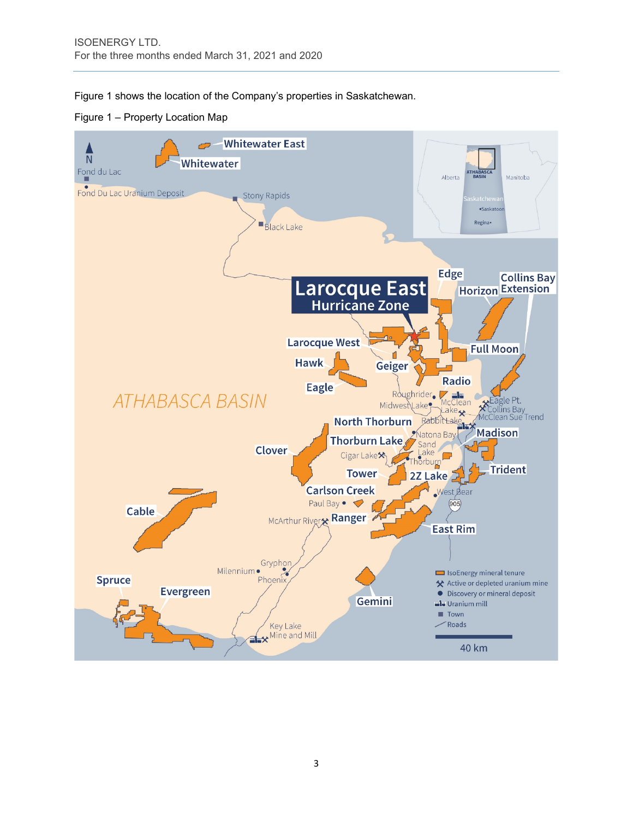Figure 1 shows the location of the Company's properties in Saskatchewan.

Figure 1 – Property Location Map

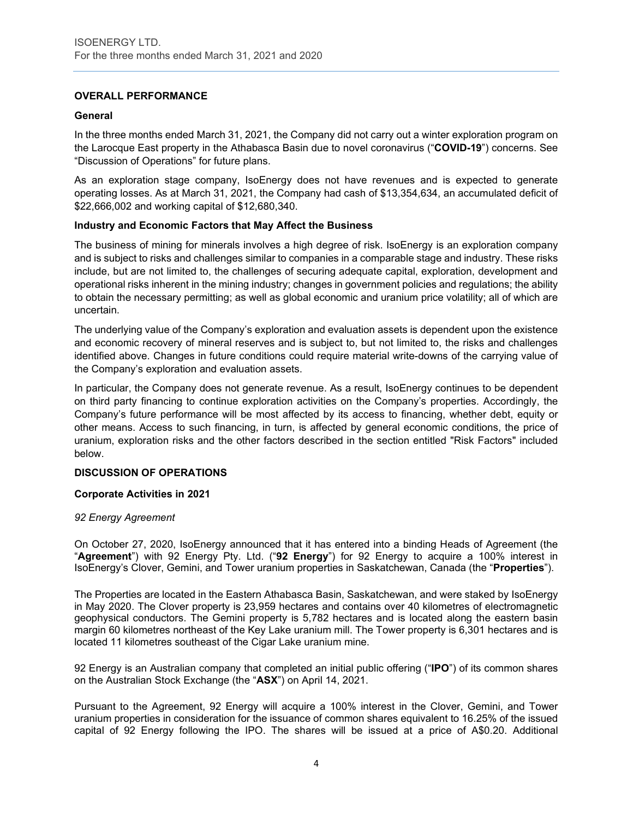# **OVERALL PERFORMANCE**

#### **General**

In the three months ended March 31, 2021, the Company did not carry out a winter exploration program on the Larocque East property in the Athabasca Basin due to novel coronavirus ("**COVID-19**") concerns. See "Discussion of Operations" for future plans.

As an exploration stage company, IsoEnergy does not have revenues and is expected to generate operating losses. As at March 31, 2021, the Company had cash of \$13,354,634, an accumulated deficit of \$22,666,002 and working capital of \$12,680,340.

#### **Industry and Economic Factors that May Affect the Business**

The business of mining for minerals involves a high degree of risk. IsoEnergy is an exploration company and is subject to risks and challenges similar to companies in a comparable stage and industry. These risks include, but are not limited to, the challenges of securing adequate capital, exploration, development and operational risks inherent in the mining industry; changes in government policies and regulations; the ability to obtain the necessary permitting; as well as global economic and uranium price volatility; all of which are uncertain.

The underlying value of the Company's exploration and evaluation assets is dependent upon the existence and economic recovery of mineral reserves and is subject to, but not limited to, the risks and challenges identified above. Changes in future conditions could require material write-downs of the carrying value of the Company's exploration and evaluation assets.

In particular, the Company does not generate revenue. As a result, IsoEnergy continues to be dependent on third party financing to continue exploration activities on the Company's properties. Accordingly, the Company's future performance will be most affected by its access to financing, whether debt, equity or other means. Access to such financing, in turn, is affected by general economic conditions, the price of uranium, exploration risks and the other factors described in the section entitled "Risk Factors" included below.

# **DISCUSSION OF OPERATIONS**

#### **Corporate Activities in 2021**

#### *92 Energy Agreement*

On October 27, 2020, IsoEnergy announced that it has entered into a binding Heads of Agreement (the "**Agreement**") with 92 Energy Pty. Ltd. ("**92 Energy**") for 92 Energy to acquire a 100% interest in IsoEnergy's Clover, Gemini, and Tower uranium properties in Saskatchewan, Canada (the "**Properties**").

The Properties are located in the Eastern Athabasca Basin, Saskatchewan, and were staked by IsoEnergy in May 2020. The Clover property is 23,959 hectares and contains over 40 kilometres of electromagnetic geophysical conductors. The Gemini property is 5,782 hectares and is located along the eastern basin margin 60 kilometres northeast of the Key Lake uranium mill. The Tower property is 6,301 hectares and is located 11 kilometres southeast of the Cigar Lake uranium mine.

92 Energy is an Australian company that completed an initial public offering ("**IPO**") of its common shares on the Australian Stock Exchange (the "**ASX**") on April 14, 2021.

Pursuant to the Agreement, 92 Energy will acquire a 100% interest in the Clover, Gemini, and Tower uranium properties in consideration for the issuance of common shares equivalent to 16.25% of the issued capital of 92 Energy following the IPO. The shares will be issued at a price of A\$0.20. Additional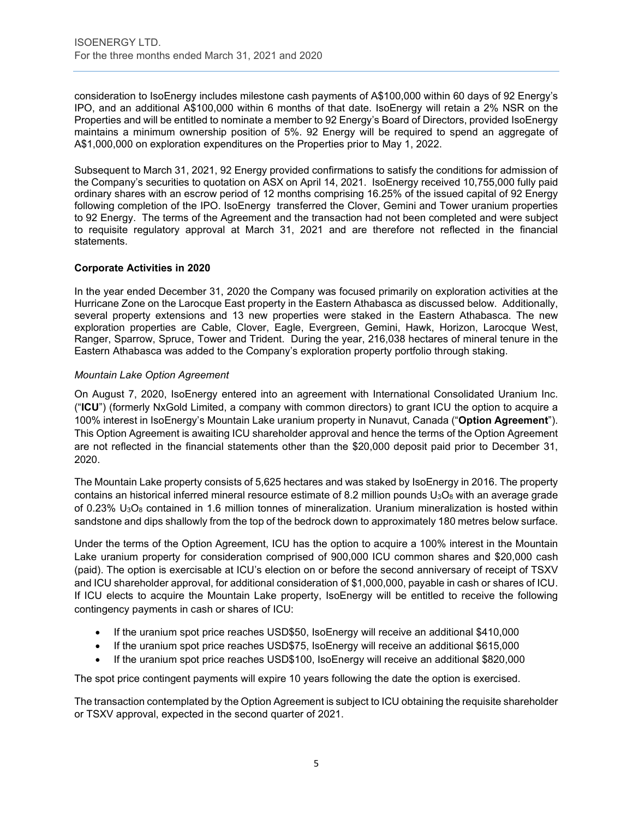consideration to IsoEnergy includes milestone cash payments of A\$100,000 within 60 days of 92 Energy's IPO, and an additional A\$100,000 within 6 months of that date. IsoEnergy will retain a 2% NSR on the Properties and will be entitled to nominate a member to 92 Energy's Board of Directors, provided IsoEnergy maintains a minimum ownership position of 5%. 92 Energy will be required to spend an aggregate of A\$1,000,000 on exploration expenditures on the Properties prior to May 1, 2022.

Subsequent to March 31, 2021, 92 Energy provided confirmations to satisfy the conditions for admission of the Company's securities to quotation on ASX on April 14, 2021. IsoEnergy received 10,755,000 fully paid ordinary shares with an escrow period of 12 months comprising 16.25% of the issued capital of 92 Energy following completion of the IPO. IsoEnergy transferred the Clover, Gemini and Tower uranium properties to 92 Energy. The terms of the Agreement and the transaction had not been completed and were subject to requisite regulatory approval at March 31, 2021 and are therefore not reflected in the financial statements.

#### **Corporate Activities in 2020**

In the year ended December 31, 2020 the Company was focused primarily on exploration activities at the Hurricane Zone on the Larocque East property in the Eastern Athabasca as discussed below. Additionally, several property extensions and 13 new properties were staked in the Eastern Athabasca. The new exploration properties are Cable, Clover, Eagle, Evergreen, Gemini, Hawk, Horizon, Larocque West, Ranger, Sparrow, Spruce, Tower and Trident. During the year, 216,038 hectares of mineral tenure in the Eastern Athabasca was added to the Company's exploration property portfolio through staking.

#### *Mountain Lake Option Agreement*

On August 7, 2020, IsoEnergy entered into an agreement with International Consolidated Uranium Inc. ("**ICU**") (formerly NxGold Limited, a company with common directors) to grant ICU the option to acquire a 100% interest in IsoEnergy's Mountain Lake uranium property in Nunavut, Canada ("**Option Agreement**"). This Option Agreement is awaiting ICU shareholder approval and hence the terms of the Option Agreement are not reflected in the financial statements other than the \$20,000 deposit paid prior to December 31, 2020.

The Mountain Lake property consists of 5,625 hectares and was staked by IsoEnergy in 2016. The property contains an historical inferred mineral resource estimate of 8.2 million pounds  $U_3O_8$  with an average grade of 0.23%  $U<sub>3</sub>O<sub>8</sub>$  contained in 1.6 million tonnes of mineralization. Uranium mineralization is hosted within sandstone and dips shallowly from the top of the bedrock down to approximately 180 metres below surface.

Under the terms of the Option Agreement, ICU has the option to acquire a 100% interest in the Mountain Lake uranium property for consideration comprised of 900,000 ICU common shares and \$20,000 cash (paid). The option is exercisable at ICU's election on or before the second anniversary of receipt of TSXV and ICU shareholder approval, for additional consideration of \$1,000,000, payable in cash or shares of ICU. If ICU elects to acquire the Mountain Lake property, IsoEnergy will be entitled to receive the following contingency payments in cash or shares of ICU:

- If the uranium spot price reaches USD\$50, IsoEnergy will receive an additional \$410,000
- If the uranium spot price reaches USD\$75, IsoEnergy will receive an additional \$615,000
- If the uranium spot price reaches USD\$100, IsoEnergy will receive an additional \$820,000

The spot price contingent payments will expire 10 years following the date the option is exercised.

The transaction contemplated by the Option Agreement is subject to ICU obtaining the requisite shareholder or TSXV approval, expected in the second quarter of 2021.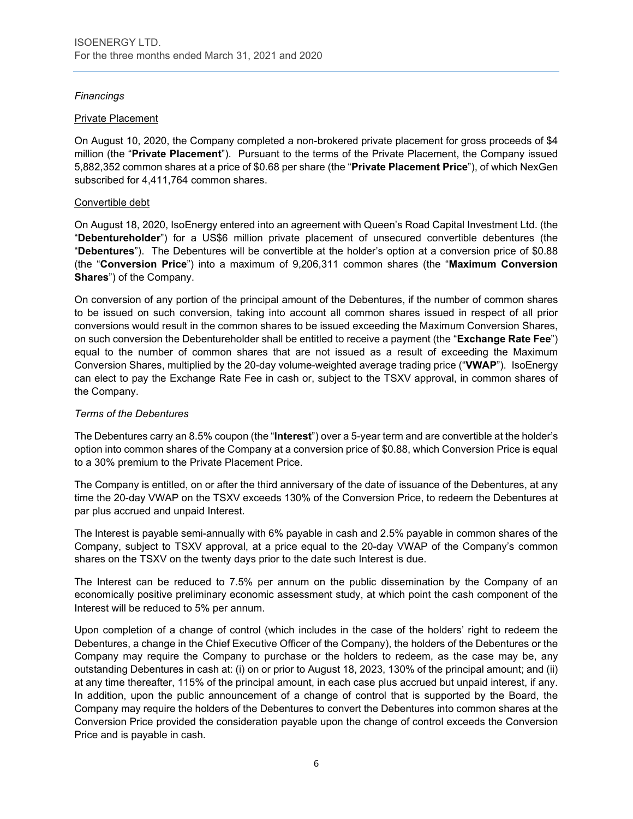# *Financings*

#### Private Placement

On August 10, 2020, the Company completed a non-brokered private placement for gross proceeds of \$4 million (the "**Private Placement**"). Pursuant to the terms of the Private Placement, the Company issued 5,882,352 common shares at a price of \$0.68 per share (the "**Private Placement Price**"), of which NexGen subscribed for 4,411,764 common shares.

#### Convertible debt

On August 18, 2020, IsoEnergy entered into an agreement with Queen's Road Capital Investment Ltd. (the "**Debentureholder**") for a US\$6 million private placement of unsecured convertible debentures (the "**Debentures**"). The Debentures will be convertible at the holder's option at a conversion price of \$0.88 (the "**Conversion Price**") into a maximum of 9,206,311 common shares (the "**Maximum Conversion Shares**") of the Company.

On conversion of any portion of the principal amount of the Debentures, if the number of common shares to be issued on such conversion, taking into account all common shares issued in respect of all prior conversions would result in the common shares to be issued exceeding the Maximum Conversion Shares, on such conversion the Debentureholder shall be entitled to receive a payment (the "**Exchange Rate Fee**") equal to the number of common shares that are not issued as a result of exceeding the Maximum Conversion Shares, multiplied by the 20-day volume-weighted average trading price ("**VWAP**"). IsoEnergy can elect to pay the Exchange Rate Fee in cash or, subject to the TSXV approval, in common shares of the Company.

#### *Terms of the Debentures*

The Debentures carry an 8.5% coupon (the "**Interest**") over a 5-year term and are convertible at the holder's option into common shares of the Company at a conversion price of \$0.88, which Conversion Price is equal to a 30% premium to the Private Placement Price.

The Company is entitled, on or after the third anniversary of the date of issuance of the Debentures, at any time the 20-day VWAP on the TSXV exceeds 130% of the Conversion Price, to redeem the Debentures at par plus accrued and unpaid Interest.

The Interest is payable semi-annually with 6% payable in cash and 2.5% payable in common shares of the Company, subject to TSXV approval, at a price equal to the 20-day VWAP of the Company's common shares on the TSXV on the twenty days prior to the date such Interest is due.

The Interest can be reduced to 7.5% per annum on the public dissemination by the Company of an economically positive preliminary economic assessment study, at which point the cash component of the Interest will be reduced to 5% per annum.

Upon completion of a change of control (which includes in the case of the holders' right to redeem the Debentures, a change in the Chief Executive Officer of the Company), the holders of the Debentures or the Company may require the Company to purchase or the holders to redeem, as the case may be, any outstanding Debentures in cash at: (i) on or prior to August 18, 2023, 130% of the principal amount; and (ii) at any time thereafter, 115% of the principal amount, in each case plus accrued but unpaid interest, if any. In addition, upon the public announcement of a change of control that is supported by the Board, the Company may require the holders of the Debentures to convert the Debentures into common shares at the Conversion Price provided the consideration payable upon the change of control exceeds the Conversion Price and is payable in cash.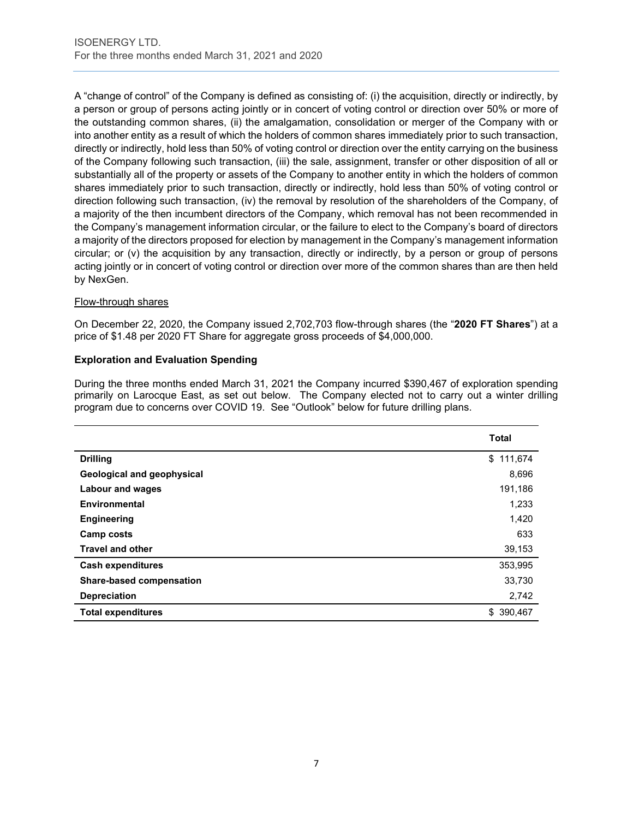A "change of control" of the Company is defined as consisting of: (i) the acquisition, directly or indirectly, by a person or group of persons acting jointly or in concert of voting control or direction over 50% or more of the outstanding common shares, (ii) the amalgamation, consolidation or merger of the Company with or into another entity as a result of which the holders of common shares immediately prior to such transaction, directly or indirectly, hold less than 50% of voting control or direction over the entity carrying on the business of the Company following such transaction, (iii) the sale, assignment, transfer or other disposition of all or substantially all of the property or assets of the Company to another entity in which the holders of common shares immediately prior to such transaction, directly or indirectly, hold less than 50% of voting control or direction following such transaction, (iv) the removal by resolution of the shareholders of the Company, of a majority of the then incumbent directors of the Company, which removal has not been recommended in the Company's management information circular, or the failure to elect to the Company's board of directors a majority of the directors proposed for election by management in the Company's management information circular; or (v) the acquisition by any transaction, directly or indirectly, by a person or group of persons acting jointly or in concert of voting control or direction over more of the common shares than are then held by NexGen.

# Flow-through shares

On December 22, 2020, the Company issued 2,702,703 flow-through shares (the "**2020 FT Shares**") at a price of \$1.48 per 2020 FT Share for aggregate gross proceeds of \$4,000,000.

#### **Exploration and Evaluation Spending**

During the three months ended March 31, 2021 the Company incurred \$390,467 of exploration spending primarily on Larocque East, as set out below. The Company elected not to carry out a winter drilling program due to concerns over COVID 19. See "Outlook" below for future drilling plans.

|                            | <b>Total</b> |
|----------------------------|--------------|
| <b>Drilling</b>            | \$111,674    |
| Geological and geophysical | 8,696        |
| Labour and wages           | 191,186      |
| Environmental              | 1,233        |
| <b>Engineering</b>         | 1,420        |
| Camp costs                 | 633          |
| <b>Travel and other</b>    | 39,153       |
| <b>Cash expenditures</b>   | 353,995      |
| Share-based compensation   | 33,730       |
| <b>Depreciation</b>        | 2,742        |
| <b>Total expenditures</b>  | \$ 390,467   |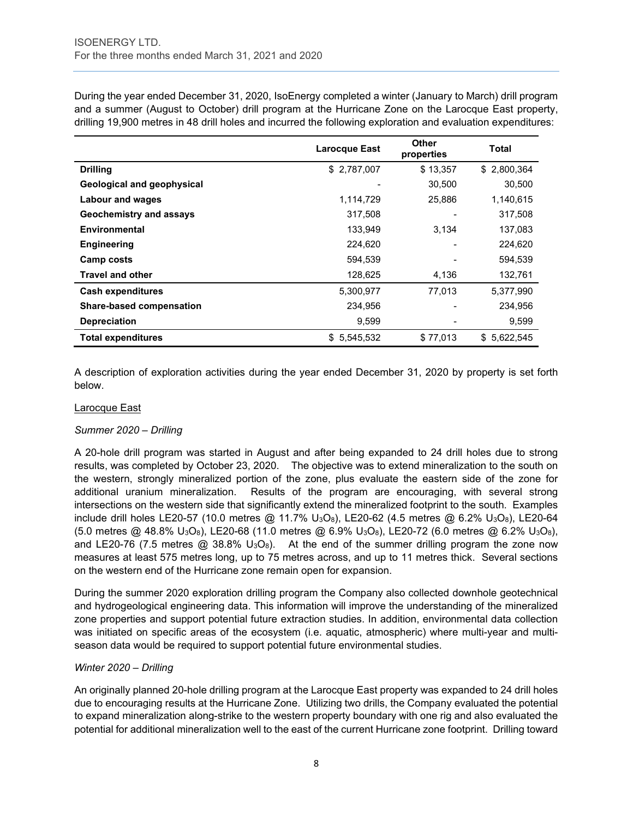During the year ended December 31, 2020, IsoEnergy completed a winter (January to March) drill program and a summer (August to October) drill program at the Hurricane Zone on the Larocque East property, drilling 19,900 metres in 48 drill holes and incurred the following exploration and evaluation expenditures:

|                                | <b>Larocque East</b> | <b>Other</b><br>properties | <b>Total</b>    |
|--------------------------------|----------------------|----------------------------|-----------------|
| <b>Drilling</b>                | \$2,787,007          | \$13,357                   | \$2,800,364     |
| Geological and geophysical     |                      | 30,500                     | 30,500          |
| Labour and wages               | 1,114,729            | 25,886                     | 1,140,615       |
| <b>Geochemistry and assays</b> | 317,508              |                            | 317,508         |
| Environmental                  | 133,949              | 3,134                      | 137,083         |
| <b>Engineering</b>             | 224,620              |                            | 224,620         |
| Camp costs                     | 594.539              |                            | 594.539         |
| <b>Travel and other</b>        | 128,625              | 4,136                      | 132,761         |
| <b>Cash expenditures</b>       | 5,300,977            | 77.013                     | 5,377,990       |
| Share-based compensation       | 234,956              |                            | 234,956         |
| <b>Depreciation</b>            | 9.599                |                            | 9,599           |
| <b>Total expenditures</b>      | 5,545,532<br>\$      | \$77,013                   | 5,622,545<br>\$ |

A description of exploration activities during the year ended December 31, 2020 by property is set forth below.

#### Larocque East

# *Summer 2020 – Drilling*

A 20-hole drill program was started in August and after being expanded to 24 drill holes due to strong results, was completed by October 23, 2020. The objective was to extend mineralization to the south on the western, strongly mineralized portion of the zone, plus evaluate the eastern side of the zone for additional uranium mineralization. Results of the program are encouraging, with several strong intersections on the western side that significantly extend the mineralized footprint to the south. Examples include drill holes LE20-57 (10.0 metres @ 11.7% U<sub>3</sub>O<sub>8</sub>), LE20-62 (4.5 metres @ 6.2% U<sub>3</sub>O<sub>8</sub>), LE20-64 (5.0 metres @ 48.8% U3O8), LE20-68 (11.0 metres @ 6.9% U3O8), LE20-72 (6.0 metres @ 6.2% U3O8), and LE20-76 (7.5 metres  $@38.8\%$  U<sub>3</sub>O<sub>8</sub>). At the end of the summer drilling program the zone now measures at least 575 metres long, up to 75 metres across, and up to 11 metres thick. Several sections on the western end of the Hurricane zone remain open for expansion.

During the summer 2020 exploration drilling program the Company also collected downhole geotechnical and hydrogeological engineering data. This information will improve the understanding of the mineralized zone properties and support potential future extraction studies. In addition, environmental data collection was initiated on specific areas of the ecosystem (i.e. aquatic, atmospheric) where multi-year and multiseason data would be required to support potential future environmental studies.

# *Winter 2020 – Drilling*

An originally planned 20-hole drilling program at the Larocque East property was expanded to 24 drill holes due to encouraging results at the Hurricane Zone. Utilizing two drills, the Company evaluated the potential to expand mineralization along-strike to the western property boundary with one rig and also evaluated the potential for additional mineralization well to the east of the current Hurricane zone footprint. Drilling toward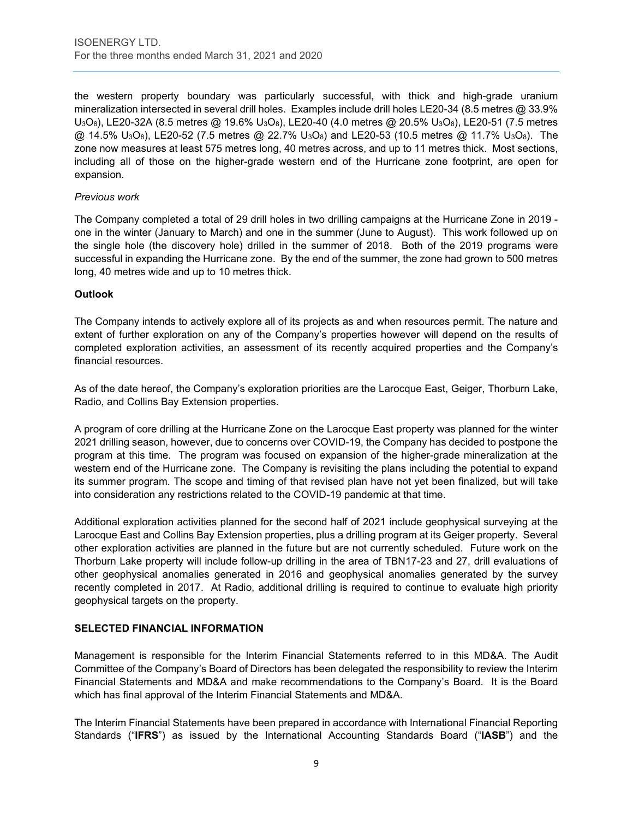the western property boundary was particularly successful, with thick and high-grade uranium mineralization intersected in several drill holes. Examples include drill holes LE20-34 (8.5 metres @ 33.9% U3O8), LE20-32A (8.5 metres @ 19.6% U3O8), LE20-40 (4.0 metres @ 20.5% U3O8), LE20-51 (7.5 metres  $@$  14.5% U<sub>3</sub>O<sub>8</sub>), LE20-52 (7.5 metres  $@$  22.7% U<sub>3</sub>O<sub>8</sub>) and LE20-53 (10.5 metres  $@$  11.7% U<sub>3</sub>O<sub>8</sub>). The zone now measures at least 575 metres long, 40 metres across, and up to 11 metres thick. Most sections, including all of those on the higher-grade western end of the Hurricane zone footprint, are open for expansion.

#### *Previous work*

The Company completed a total of 29 drill holes in two drilling campaigns at the Hurricane Zone in 2019 one in the winter (January to March) and one in the summer (June to August). This work followed up on the single hole (the discovery hole) drilled in the summer of 2018. Both of the 2019 programs were successful in expanding the Hurricane zone. By the end of the summer, the zone had grown to 500 metres long, 40 metres wide and up to 10 metres thick.

#### **Outlook**

The Company intends to actively explore all of its projects as and when resources permit. The nature and extent of further exploration on any of the Company's properties however will depend on the results of completed exploration activities, an assessment of its recently acquired properties and the Company's financial resources.

As of the date hereof, the Company's exploration priorities are the Larocque East, Geiger, Thorburn Lake, Radio, and Collins Bay Extension properties.

A program of core drilling at the Hurricane Zone on the Larocque East property was planned for the winter 2021 drilling season, however, due to concerns over COVID-19, the Company has decided to postpone the program at this time. The program was focused on expansion of the higher-grade mineralization at the western end of the Hurricane zone. The Company is revisiting the plans including the potential to expand its summer program. The scope and timing of that revised plan have not yet been finalized, but will take into consideration any restrictions related to the COVID-19 pandemic at that time.

Additional exploration activities planned for the second half of 2021 include geophysical surveying at the Larocque East and Collins Bay Extension properties, plus a drilling program at its Geiger property. Several other exploration activities are planned in the future but are not currently scheduled. Future work on the Thorburn Lake property will include follow-up drilling in the area of TBN17-23 and 27, drill evaluations of other geophysical anomalies generated in 2016 and geophysical anomalies generated by the survey recently completed in 2017. At Radio, additional drilling is required to continue to evaluate high priority geophysical targets on the property.

# **SELECTED FINANCIAL INFORMATION**

Management is responsible for the Interim Financial Statements referred to in this MD&A. The Audit Committee of the Company's Board of Directors has been delegated the responsibility to review the Interim Financial Statements and MD&A and make recommendations to the Company's Board. It is the Board which has final approval of the Interim Financial Statements and MD&A.

The Interim Financial Statements have been prepared in accordance with International Financial Reporting Standards ("**IFRS**") as issued by the International Accounting Standards Board ("**IASB**") and the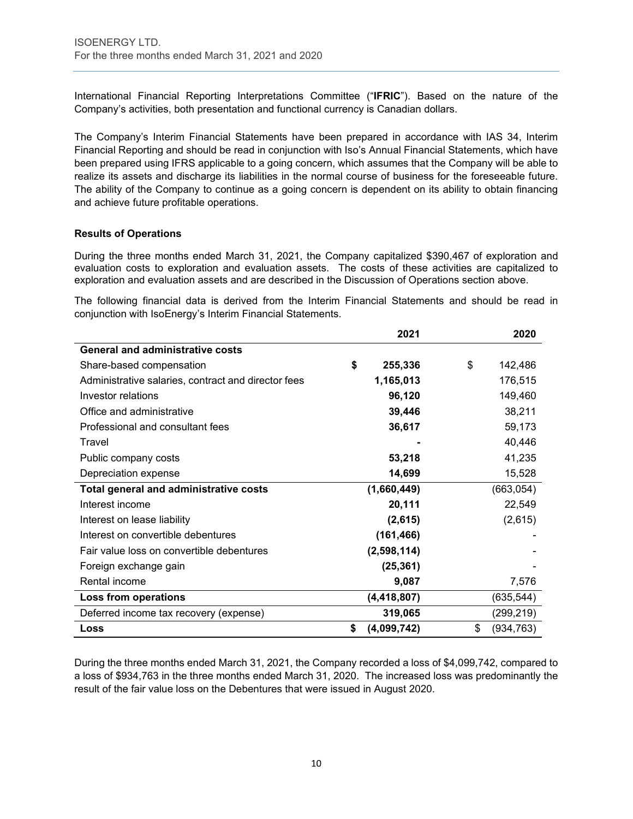International Financial Reporting Interpretations Committee ("**IFRIC**"). Based on the nature of the Company's activities, both presentation and functional currency is Canadian dollars.

The Company's Interim Financial Statements have been prepared in accordance with IAS 34, Interim Financial Reporting and should be read in conjunction with Iso's Annual Financial Statements, which have been prepared using IFRS applicable to a going concern, which assumes that the Company will be able to realize its assets and discharge its liabilities in the normal course of business for the foreseeable future. The ability of the Company to continue as a going concern is dependent on its ability to obtain financing and achieve future profitable operations.

#### **Results of Operations**

During the three months ended March 31, 2021, the Company capitalized \$390,467 of exploration and evaluation costs to exploration and evaluation assets. The costs of these activities are capitalized to exploration and evaluation assets and are described in the Discussion of Operations section above.

The following financial data is derived from the Interim Financial Statements and should be read in conjunction with IsoEnergy's Interim Financial Statements.

|                                                     | 2021              | 2020             |
|-----------------------------------------------------|-------------------|------------------|
| <b>General and administrative costs</b>             |                   |                  |
| Share-based compensation                            | \$<br>255,336     | \$<br>142,486    |
| Administrative salaries, contract and director fees | 1,165,013         | 176,515          |
| Investor relations                                  | 96,120            | 149,460          |
| Office and administrative                           | 39,446            | 38,211           |
| Professional and consultant fees                    | 36,617            | 59,173           |
| Travel                                              |                   | 40,446           |
| Public company costs                                | 53,218            | 41,235           |
| Depreciation expense                                | 14,699            | 15,528           |
| Total general and administrative costs              | (1,660,449)       | (663, 054)       |
| Interest income                                     | 20,111            | 22,549           |
| Interest on lease liability                         | (2,615)           | (2,615)          |
| Interest on convertible debentures                  | (161, 466)        |                  |
| Fair value loss on convertible debentures           | (2,598,114)       |                  |
| Foreign exchange gain                               | (25, 361)         |                  |
| Rental income                                       | 9,087             | 7,576            |
| Loss from operations                                | (4, 418, 807)     | (635, 544)       |
| Deferred income tax recovery (expense)              | 319,065           | (299,219)        |
| Loss                                                | \$<br>(4,099,742) | \$<br>(934, 763) |

During the three months ended March 31, 2021, the Company recorded a loss of \$4,099,742, compared to a loss of \$934,763 in the three months ended March 31, 2020. The increased loss was predominantly the result of the fair value loss on the Debentures that were issued in August 2020.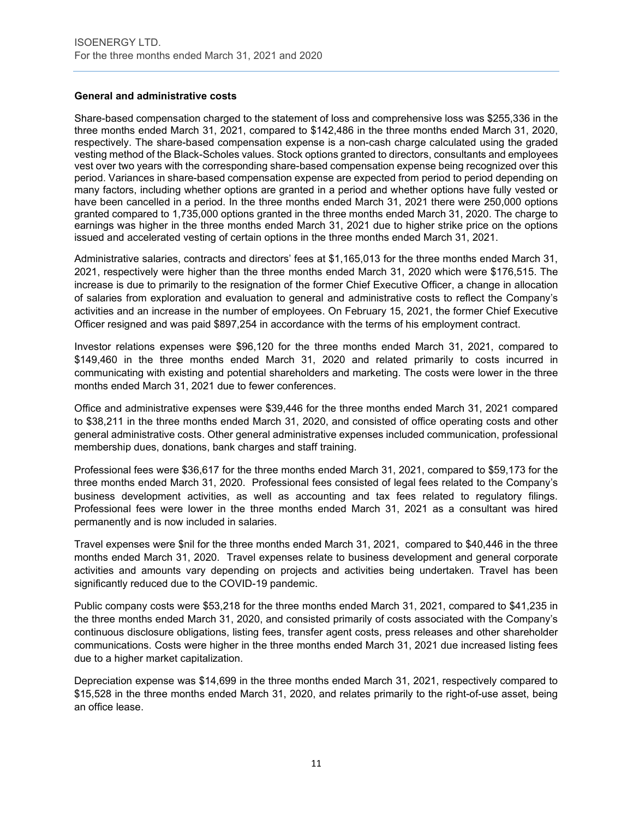#### **General and administrative costs**

Share-based compensation charged to the statement of loss and comprehensive loss was \$255,336 in the three months ended March 31, 2021, compared to \$142,486 in the three months ended March 31, 2020, respectively. The share-based compensation expense is a non-cash charge calculated using the graded vesting method of the Black-Scholes values. Stock options granted to directors, consultants and employees vest over two years with the corresponding share-based compensation expense being recognized over this period. Variances in share-based compensation expense are expected from period to period depending on many factors, including whether options are granted in a period and whether options have fully vested or have been cancelled in a period. In the three months ended March 31, 2021 there were 250,000 options granted compared to 1,735,000 options granted in the three months ended March 31, 2020. The charge to earnings was higher in the three months ended March 31, 2021 due to higher strike price on the options issued and accelerated vesting of certain options in the three months ended March 31, 2021.

Administrative salaries, contracts and directors' fees at \$1,165,013 for the three months ended March 31, 2021, respectively were higher than the three months ended March 31, 2020 which were \$176,515. The increase is due to primarily to the resignation of the former Chief Executive Officer, a change in allocation of salaries from exploration and evaluation to general and administrative costs to reflect the Company's activities and an increase in the number of employees. On February 15, 2021, the former Chief Executive Officer resigned and was paid \$897,254 in accordance with the terms of his employment contract.

Investor relations expenses were \$96,120 for the three months ended March 31, 2021, compared to \$149,460 in the three months ended March 31, 2020 and related primarily to costs incurred in communicating with existing and potential shareholders and marketing. The costs were lower in the three months ended March 31, 2021 due to fewer conferences.

Office and administrative expenses were \$39,446 for the three months ended March 31, 2021 compared to \$38,211 in the three months ended March 31, 2020, and consisted of office operating costs and other general administrative costs. Other general administrative expenses included communication, professional membership dues, donations, bank charges and staff training.

Professional fees were \$36,617 for the three months ended March 31, 2021, compared to \$59,173 for the three months ended March 31, 2020. Professional fees consisted of legal fees related to the Company's business development activities, as well as accounting and tax fees related to regulatory filings. Professional fees were lower in the three months ended March 31, 2021 as a consultant was hired permanently and is now included in salaries.

Travel expenses were \$nil for the three months ended March 31, 2021, compared to \$40,446 in the three months ended March 31, 2020. Travel expenses relate to business development and general corporate activities and amounts vary depending on projects and activities being undertaken. Travel has been significantly reduced due to the COVID-19 pandemic.

Public company costs were \$53,218 for the three months ended March 31, 2021, compared to \$41,235 in the three months ended March 31, 2020, and consisted primarily of costs associated with the Company's continuous disclosure obligations, listing fees, transfer agent costs, press releases and other shareholder communications. Costs were higher in the three months ended March 31, 2021 due increased listing fees due to a higher market capitalization.

Depreciation expense was \$14,699 in the three months ended March 31, 2021, respectively compared to \$15,528 in the three months ended March 31, 2020, and relates primarily to the right-of-use asset, being an office lease.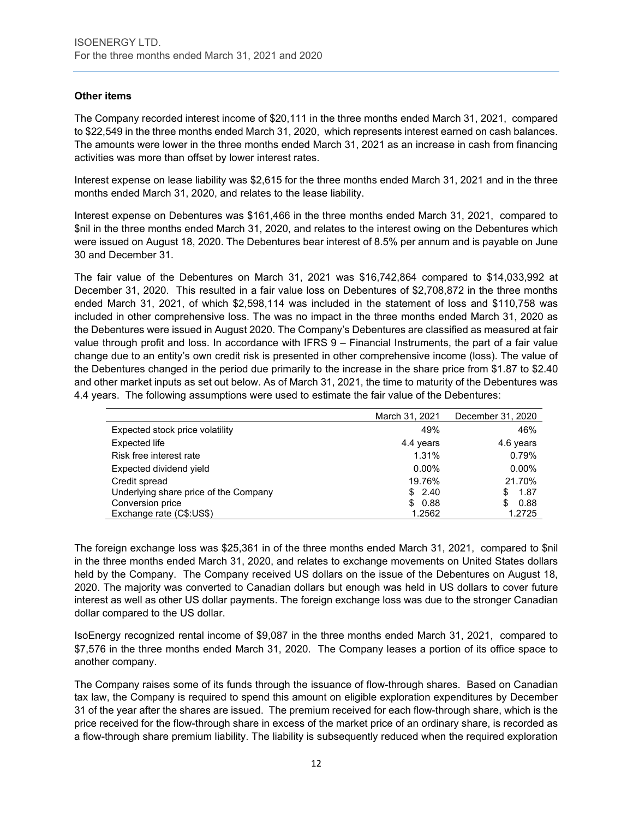# **Other items**

The Company recorded interest income of \$20,111 in the three months ended March 31, 2021, compared to \$22,549 in the three months ended March 31, 2020, which represents interest earned on cash balances. The amounts were lower in the three months ended March 31, 2021 as an increase in cash from financing activities was more than offset by lower interest rates.

Interest expense on lease liability was \$2,615 for the three months ended March 31, 2021 and in the three months ended March 31, 2020, and relates to the lease liability.

Interest expense on Debentures was \$161,466 in the three months ended March 31, 2021, compared to \$nil in the three months ended March 31, 2020, and relates to the interest owing on the Debentures which were issued on August 18, 2020. The Debentures bear interest of 8.5% per annum and is payable on June 30 and December 31.

The fair value of the Debentures on March 31, 2021 was \$16,742,864 compared to \$14,033,992 at December 31, 2020. This resulted in a fair value loss on Debentures of \$2,708,872 in the three months ended March 31, 2021, of which \$2,598,114 was included in the statement of loss and \$110,758 was included in other comprehensive loss. The was no impact in the three months ended March 31, 2020 as the Debentures were issued in August 2020. The Company's Debentures are classified as measured at fair value through profit and loss. In accordance with IFRS 9 – Financial Instruments, the part of a fair value change due to an entity's own credit risk is presented in other comprehensive income (loss). The value of the Debentures changed in the period due primarily to the increase in the share price from \$1.87 to \$2.40 and other market inputs as set out below. As of March 31, 2021, the time to maturity of the Debentures was 4.4 years. The following assumptions were used to estimate the fair value of the Debentures:

|                                       | March 31, 2021 | December 31, 2020 |
|---------------------------------------|----------------|-------------------|
| Expected stock price volatility       | 49%            | 46%               |
| Expected life                         | 4.4 years      | 4.6 years         |
| Risk free interest rate               | 1.31%          | 0.79%             |
| Expected dividend yield               | $0.00\%$       | $0.00\%$          |
| Credit spread                         | 19.76%         | 21.70%            |
| Underlying share price of the Company | \$2.40         | \$<br>1.87        |
| Conversion price                      | 0.88<br>\$     | 0.88<br>\$        |
| Exchange rate (C\$:US\$)              | 1.2562         | 1.2725            |

The foreign exchange loss was \$25,361 in of the three months ended March 31, 2021, compared to \$nil in the three months ended March 31, 2020, and relates to exchange movements on United States dollars held by the Company. The Company received US dollars on the issue of the Debentures on August 18, 2020. The majority was converted to Canadian dollars but enough was held in US dollars to cover future interest as well as other US dollar payments. The foreign exchange loss was due to the stronger Canadian dollar compared to the US dollar.

IsoEnergy recognized rental income of \$9,087 in the three months ended March 31, 2021, compared to \$7,576 in the three months ended March 31, 2020. The Company leases a portion of its office space to another company.

The Company raises some of its funds through the issuance of flow-through shares. Based on Canadian tax law, the Company is required to spend this amount on eligible exploration expenditures by December 31 of the year after the shares are issued. The premium received for each flow-through share, which is the price received for the flow-through share in excess of the market price of an ordinary share, is recorded as a flow-through share premium liability. The liability is subsequently reduced when the required exploration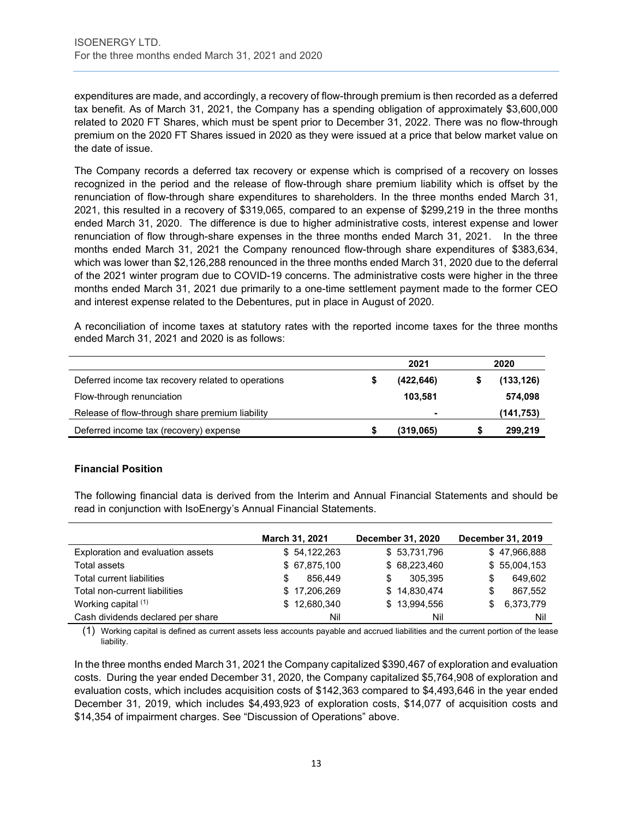expenditures are made, and accordingly, a recovery of flow-through premium is then recorded as a deferred tax benefit. As of March 31, 2021, the Company has a spending obligation of approximately \$3,600,000 related to 2020 FT Shares, which must be spent prior to December 31, 2022. There was no flow-through premium on the 2020 FT Shares issued in 2020 as they were issued at a price that below market value on the date of issue.

The Company records a deferred tax recovery or expense which is comprised of a recovery on losses recognized in the period and the release of flow-through share premium liability which is offset by the renunciation of flow-through share expenditures to shareholders. In the three months ended March 31, 2021, this resulted in a recovery of \$319,065, compared to an expense of \$299,219 in the three months ended March 31, 2020. The difference is due to higher administrative costs, interest expense and lower renunciation of flow through-share expenses in the three months ended March 31, 2021. In the three months ended March 31, 2021 the Company renounced flow-through share expenditures of \$383,634, which was lower than \$2,126,288 renounced in the three months ended March 31, 2020 due to the deferral of the 2021 winter program due to COVID-19 concerns. The administrative costs were higher in the three months ended March 31, 2021 due primarily to a one-time settlement payment made to the former CEO and interest expense related to the Debentures, put in place in August of 2020.

A reconciliation of income taxes at statutory rates with the reported income taxes for the three months ended March 31, 2021 and 2020 is as follows:

|                                                    | 2021       | 2020       |
|----------------------------------------------------|------------|------------|
| Deferred income tax recovery related to operations | (422, 646) | (133, 126) |
| Flow-through renunciation                          | 103.581    | 574,098    |
| Release of flow-through share premium liability    | -          | (141, 753) |
| Deferred income tax (recovery) expense             | (319,065)  | 299,219    |

# **Financial Position**

The following financial data is derived from the Interim and Annual Financial Statements and should be read in conjunction with IsoEnergy's Annual Financial Statements.

|                                   | March 31, 2021 | <b>December 31, 2020</b> | December 31, 2019 |
|-----------------------------------|----------------|--------------------------|-------------------|
| Exploration and evaluation assets | \$54,122,263   | \$53,731,796             | \$47,966,888      |
| Total assets                      | \$67,875,100   | \$68,223,460             | \$55,004,153      |
| Total current liabilities         | 856.449<br>S   | 305.395<br>S             | 649,602<br>S      |
| Total non-current liabilities     | \$17,206,269   | \$14,830,474             | 867.552<br>S      |
| Working capital (1)               | \$12,680,340   | \$13,994,556             | 6,373,779<br>\$   |
| Cash dividends declared per share | Nil            | Nil                      | Nil               |

(1) Working capital is defined as current assets less accounts payable and accrued liabilities and the current portion of the lease **liability** 

In the three months ended March 31, 2021 the Company capitalized \$390,467 of exploration and evaluation costs. During the year ended December 31, 2020, the Company capitalized \$5,764,908 of exploration and evaluation costs, which includes acquisition costs of \$142,363 compared to \$4,493,646 in the year ended December 31, 2019, which includes \$4,493,923 of exploration costs, \$14,077 of acquisition costs and \$14,354 of impairment charges. See "Discussion of Operations" above.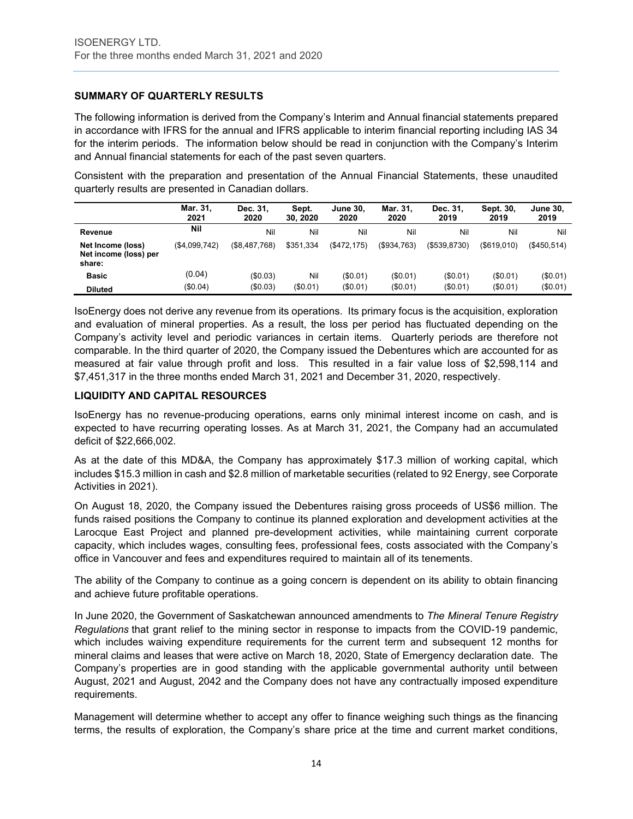# **SUMMARY OF QUARTERLY RESULTS**

The following information is derived from the Company's Interim and Annual financial statements prepared in accordance with IFRS for the annual and IFRS applicable to interim financial reporting including IAS 34 for the interim periods. The information below should be read in conjunction with the Company's Interim and Annual financial statements for each of the past seven quarters.

Consistent with the preparation and presentation of the Annual Financial Statements, these unaudited quarterly results are presented in Canadian dollars.

|                                                      | Mar. 31,<br>2021 | Dec. 31.<br>2020 | Sept.<br>30.2020 | <b>June 30.</b><br>2020 | Mar. 31.<br>2020 | Dec. 31.<br>2019 | Sept. 30.<br>2019 | <b>June 30.</b><br>2019 |
|------------------------------------------------------|------------------|------------------|------------------|-------------------------|------------------|------------------|-------------------|-------------------------|
| Revenue                                              | Nil              | Nil              | Nil              | Nil                     | Nil              | Nil              | Nil               | Nil                     |
| Net Income (loss)<br>Net income (loss) per<br>share: | (\$4,099,742)    | (\$8,487,768)    | \$351.334        | (\$472, 175)            | $($ \$934,763)   | $($ \$539.8730)  | (S619.010)        | (S450.514)              |
| <b>Basic</b>                                         | (0.04)           | (\$0.03)         | Nil              | (\$0.01)                | (\$0.01)         | (\$0.01)         | (S0.01)           | (\$0.01)                |
| <b>Diluted</b>                                       | (\$0.04)         | (\$0.03)         | (\$0.01)         | (\$0.01)                | (\$0.01)         | (\$0.01)         | (S0.01)           | (\$0.01)                |

IsoEnergy does not derive any revenue from its operations. Its primary focus is the acquisition, exploration and evaluation of mineral properties. As a result, the loss per period has fluctuated depending on the Company's activity level and periodic variances in certain items. Quarterly periods are therefore not comparable. In the third quarter of 2020, the Company issued the Debentures which are accounted for as measured at fair value through profit and loss. This resulted in a fair value loss of \$2,598,114 and \$7,451,317 in the three months ended March 31, 2021 and December 31, 2020, respectively.

# **LIQUIDITY AND CAPITAL RESOURCES**

IsoEnergy has no revenue-producing operations, earns only minimal interest income on cash, and is expected to have recurring operating losses. As at March 31, 2021, the Company had an accumulated deficit of \$22,666,002.

As at the date of this MD&A, the Company has approximately \$17.3 million of working capital, which includes \$15.3 million in cash and \$2.8 million of marketable securities (related to 92 Energy, see Corporate Activities in 2021).

On August 18, 2020, the Company issued the Debentures raising gross proceeds of US\$6 million. The funds raised positions the Company to continue its planned exploration and development activities at the Larocque East Project and planned pre-development activities, while maintaining current corporate capacity, which includes wages, consulting fees, professional fees, costs associated with the Company's office in Vancouver and fees and expenditures required to maintain all of its tenements.

The ability of the Company to continue as a going concern is dependent on its ability to obtain financing and achieve future profitable operations.

In June 2020, the Government of Saskatchewan announced amendments to *The Mineral Tenure Registry Regulations* that grant relief to the mining sector in response to impacts from the COVID-19 pandemic, which includes waiving expenditure requirements for the current term and subsequent 12 months for mineral claims and leases that were active on March 18, 2020, State of Emergency declaration date. The Company's properties are in good standing with the applicable governmental authority until between August, 2021 and August, 2042 and the Company does not have any contractually imposed expenditure requirements.

Management will determine whether to accept any offer to finance weighing such things as the financing terms, the results of exploration, the Company's share price at the time and current market conditions,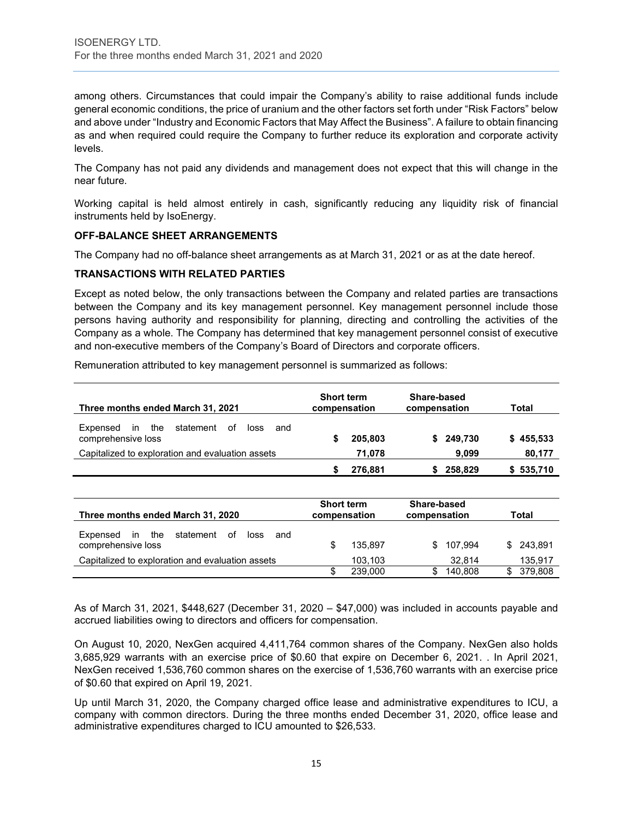among others. Circumstances that could impair the Company's ability to raise additional funds include general economic conditions, the price of uranium and the other factors set forth under "Risk Factors" below and above under "Industry and Economic Factors that May Affect the Business". A failure to obtain financing as and when required could require the Company to further reduce its exploration and corporate activity levels.

The Company has not paid any dividends and management does not expect that this will change in the near future.

Working capital is held almost entirely in cash, significantly reducing any liquidity risk of financial instruments held by IsoEnergy.

#### **OFF-BALANCE SHEET ARRANGEMENTS**

The Company had no off-balance sheet arrangements as at March 31, 2021 or as at the date hereof.

#### **TRANSACTIONS WITH RELATED PARTIES**

Except as noted below, the only transactions between the Company and related parties are transactions between the Company and its key management personnel. Key management personnel include those persons having authority and responsibility for planning, directing and controlling the activities of the Company as a whole. The Company has determined that key management personnel consist of executive and non-executive members of the Company's Board of Directors and corporate officers.

Remuneration attributed to key management personnel is summarized as follows:

| Three months ended March 31, 2021                                              | <b>Short term</b><br>compensation | Share-based<br>compensation | Total     |
|--------------------------------------------------------------------------------|-----------------------------------|-----------------------------|-----------|
| statement<br>the<br>οf<br>Expensed<br>in.<br>loss<br>and<br>comprehensive loss | 205.803                           | \$249,730                   | \$455.533 |
| Capitalized to exploration and evaluation assets                               | 71.078                            | 9.099                       | 80,177    |
|                                                                                | 276.881                           | 258,829                     | 535,710   |

| Three months ended March 31, 2020                                       | <b>Short term</b><br>compensation | <b>Share-based</b><br>compensation |         |     | Total   |
|-------------------------------------------------------------------------|-----------------------------------|------------------------------------|---------|-----|---------|
| statement<br>Expensed in the<br>and<br>οf<br>loss<br>comprehensive loss | 135.897                           | S.                                 | 107.994 | \$. | 243.891 |
| Capitalized to exploration and evaluation assets                        | 103.103                           |                                    | 32.814  |     | 135.917 |
|                                                                         | 239,000                           | S                                  | 140.808 |     | 379.808 |

As of March 31, 2021, \$448,627 (December 31, 2020 – \$47,000) was included in accounts payable and accrued liabilities owing to directors and officers for compensation.

On August 10, 2020, NexGen acquired 4,411,764 common shares of the Company. NexGen also holds 3,685,929 warrants with an exercise price of \$0.60 that expire on December 6, 2021. . In April 2021, NexGen received 1,536,760 common shares on the exercise of 1,536,760 warrants with an exercise price of \$0.60 that expired on April 19, 2021.

Up until March 31, 2020, the Company charged office lease and administrative expenditures to ICU, a company with common directors. During the three months ended December 31, 2020, office lease and administrative expenditures charged to ICU amounted to \$26,533.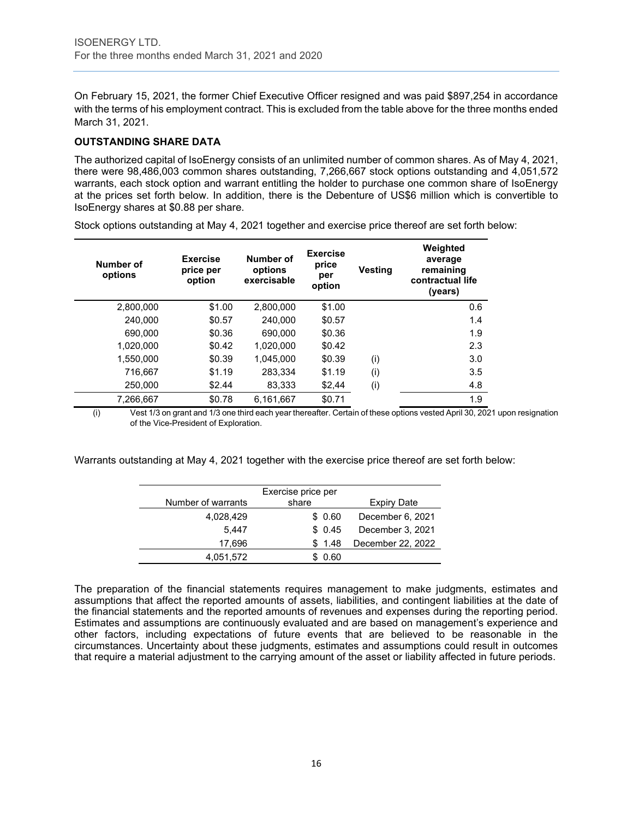On February 15, 2021, the former Chief Executive Officer resigned and was paid \$897,254 in accordance with the terms of his employment contract. This is excluded from the table above for the three months ended March 31, 2021.

# **OUTSTANDING SHARE DATA**

The authorized capital of IsoEnergy consists of an unlimited number of common shares. As of May 4, 2021, there were 98,486,003 common shares outstanding, 7,266,667 stock options outstanding and 4,051,572 warrants, each stock option and warrant entitling the holder to purchase one common share of IsoEnergy at the prices set forth below. In addition, there is the Debenture of US\$6 million which is convertible to IsoEnergy shares at \$0.88 per share.

| Number of<br>options | <b>Exercise</b><br>price per<br>option | Number of<br>options<br>exercisable | <b>Exercise</b><br>price<br>per<br>option | Vesting | Weighted<br>average<br>remaining<br>contractual life<br>(years) |
|----------------------|----------------------------------------|-------------------------------------|-------------------------------------------|---------|-----------------------------------------------------------------|
| 2,800,000            | \$1.00                                 | 2,800,000                           | \$1.00                                    |         | 0.6                                                             |
| 240.000              | \$0.57                                 | 240.000                             | \$0.57                                    |         | 1.4                                                             |
| 690,000              | \$0.36                                 | 690,000                             | \$0.36                                    |         | 1.9                                                             |
| 1,020,000            | \$0.42                                 | 1.020.000                           | \$0.42                                    |         | 2.3                                                             |
| 1.550.000            | \$0.39                                 | 1.045.000                           | \$0.39                                    | (i)     | 3.0                                                             |
| 716,667              | \$1.19                                 | 283.334                             | \$1.19                                    | (i)     | 3.5                                                             |
| 250,000              | \$2.44                                 | 83,333                              | \$2,44                                    | (i)     | 4.8                                                             |
| 7.266.667            | \$0.78                                 | 6.161.667                           | \$0.71                                    |         | 1.9                                                             |

Stock options outstanding at May 4, 2021 together and exercise price thereof are set forth below:

(i) Vest 1/3 on grant and 1/3 one third each year thereafter. Certain of these options vested April 30, 2021 upon resignation of the Vice-President of Exploration.

Warrants outstanding at May 4, 2021 together with the exercise price thereof are set forth below:

|                    | Exercise price per |                   |
|--------------------|--------------------|-------------------|
| Number of warrants | share              | Expiry Date       |
| 4,028,429          | \$0.60             | December 6, 2021  |
| 5.447              | \$0.45             | December 3, 2021  |
| 17,696             | \$1.48             | December 22, 2022 |
| 4,051,572          | 0.60               |                   |

The preparation of the financial statements requires management to make judgments, estimates and assumptions that affect the reported amounts of assets, liabilities, and contingent liabilities at the date of the financial statements and the reported amounts of revenues and expenses during the reporting period. Estimates and assumptions are continuously evaluated and are based on management's experience and other factors, including expectations of future events that are believed to be reasonable in the circumstances. Uncertainty about these judgments, estimates and assumptions could result in outcomes that require a material adjustment to the carrying amount of the asset or liability affected in future periods.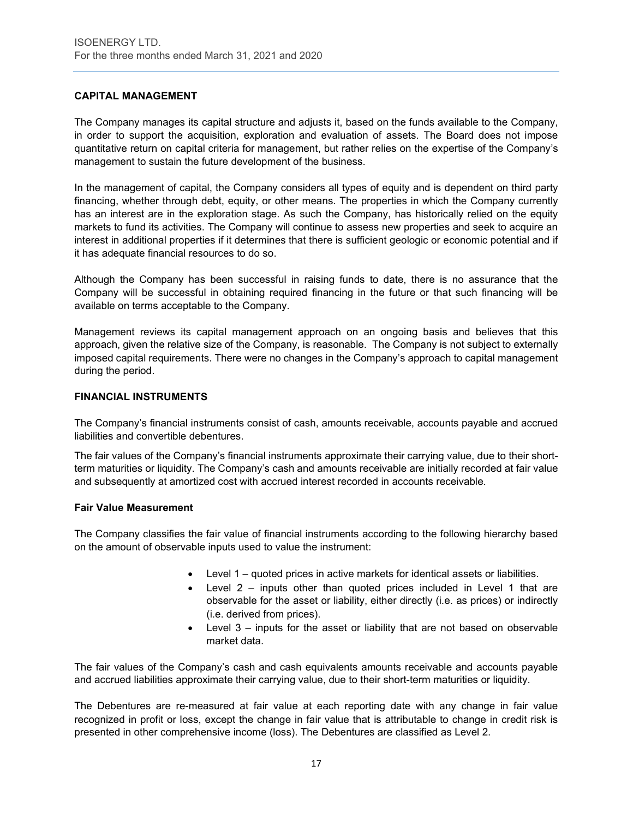# **CAPITAL MANAGEMENT**

The Company manages its capital structure and adjusts it, based on the funds available to the Company, in order to support the acquisition, exploration and evaluation of assets. The Board does not impose quantitative return on capital criteria for management, but rather relies on the expertise of the Company's management to sustain the future development of the business.

In the management of capital, the Company considers all types of equity and is dependent on third party financing, whether through debt, equity, or other means. The properties in which the Company currently has an interest are in the exploration stage. As such the Company, has historically relied on the equity markets to fund its activities. The Company will continue to assess new properties and seek to acquire an interest in additional properties if it determines that there is sufficient geologic or economic potential and if it has adequate financial resources to do so.

Although the Company has been successful in raising funds to date, there is no assurance that the Company will be successful in obtaining required financing in the future or that such financing will be available on terms acceptable to the Company.

Management reviews its capital management approach on an ongoing basis and believes that this approach, given the relative size of the Company, is reasonable. The Company is not subject to externally imposed capital requirements. There were no changes in the Company's approach to capital management during the period.

#### **FINANCIAL INSTRUMENTS**

The Company's financial instruments consist of cash, amounts receivable, accounts payable and accrued liabilities and convertible debentures.

The fair values of the Company's financial instruments approximate their carrying value, due to their shortterm maturities or liquidity. The Company's cash and amounts receivable are initially recorded at fair value and subsequently at amortized cost with accrued interest recorded in accounts receivable.

#### **Fair Value Measurement**

The Company classifies the fair value of financial instruments according to the following hierarchy based on the amount of observable inputs used to value the instrument:

- Level 1 quoted prices in active markets for identical assets or liabilities.
- Level 2 inputs other than quoted prices included in Level 1 that are observable for the asset or liability, either directly (i.e. as prices) or indirectly (i.e. derived from prices).
- Level 3 inputs for the asset or liability that are not based on observable market data.

The fair values of the Company's cash and cash equivalents amounts receivable and accounts payable and accrued liabilities approximate their carrying value, due to their short-term maturities or liquidity.

The Debentures are re-measured at fair value at each reporting date with any change in fair value recognized in profit or loss, except the change in fair value that is attributable to change in credit risk is presented in other comprehensive income (loss). The Debentures are classified as Level 2.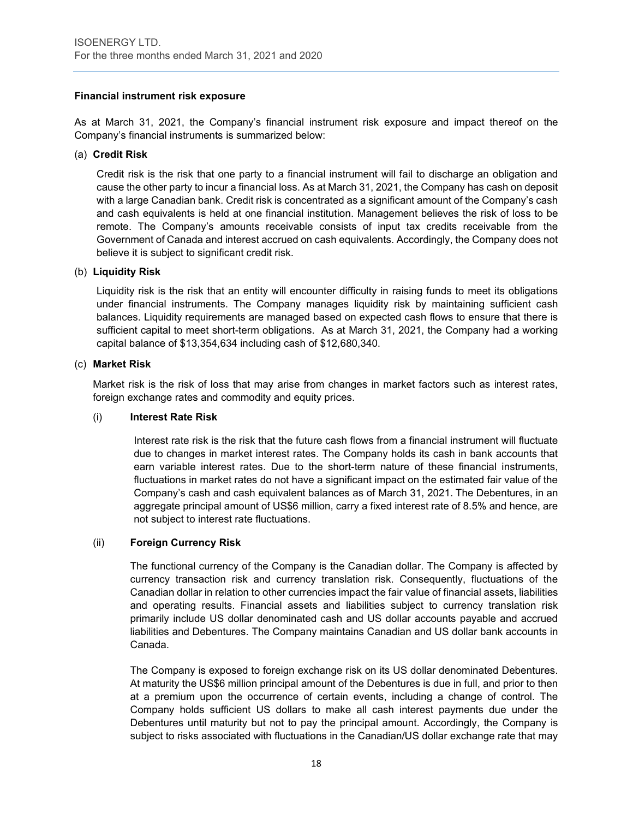# **Financial instrument risk exposure**

As at March 31, 2021, the Company's financial instrument risk exposure and impact thereof on the Company's financial instruments is summarized below:

#### (a) **Credit Risk**

Credit risk is the risk that one party to a financial instrument will fail to discharge an obligation and cause the other party to incur a financial loss. As at March 31, 2021, the Company has cash on deposit with a large Canadian bank. Credit risk is concentrated as a significant amount of the Company's cash and cash equivalents is held at one financial institution. Management believes the risk of loss to be remote. The Company's amounts receivable consists of input tax credits receivable from the Government of Canada and interest accrued on cash equivalents. Accordingly, the Company does not believe it is subject to significant credit risk.

#### (b) **Liquidity Risk**

Liquidity risk is the risk that an entity will encounter difficulty in raising funds to meet its obligations under financial instruments. The Company manages liquidity risk by maintaining sufficient cash balances. Liquidity requirements are managed based on expected cash flows to ensure that there is sufficient capital to meet short-term obligations. As at March 31, 2021, the Company had a working capital balance of \$13,354,634 including cash of \$12,680,340.

# (c) **Market Risk**

Market risk is the risk of loss that may arise from changes in market factors such as interest rates, foreign exchange rates and commodity and equity prices.

#### (i) **Interest Rate Risk**

Interest rate risk is the risk that the future cash flows from a financial instrument will fluctuate due to changes in market interest rates. The Company holds its cash in bank accounts that earn variable interest rates. Due to the short-term nature of these financial instruments, fluctuations in market rates do not have a significant impact on the estimated fair value of the Company's cash and cash equivalent balances as of March 31, 2021. The Debentures, in an aggregate principal amount of US\$6 million, carry a fixed interest rate of 8.5% and hence, are not subject to interest rate fluctuations.

#### (ii) **Foreign Currency Risk**

The functional currency of the Company is the Canadian dollar. The Company is affected by currency transaction risk and currency translation risk. Consequently, fluctuations of the Canadian dollar in relation to other currencies impact the fair value of financial assets, liabilities and operating results. Financial assets and liabilities subject to currency translation risk primarily include US dollar denominated cash and US dollar accounts payable and accrued liabilities and Debentures. The Company maintains Canadian and US dollar bank accounts in Canada.

The Company is exposed to foreign exchange risk on its US dollar denominated Debentures. At maturity the US\$6 million principal amount of the Debentures is due in full, and prior to then at a premium upon the occurrence of certain events, including a change of control. The Company holds sufficient US dollars to make all cash interest payments due under the Debentures until maturity but not to pay the principal amount. Accordingly, the Company is subject to risks associated with fluctuations in the Canadian/US dollar exchange rate that may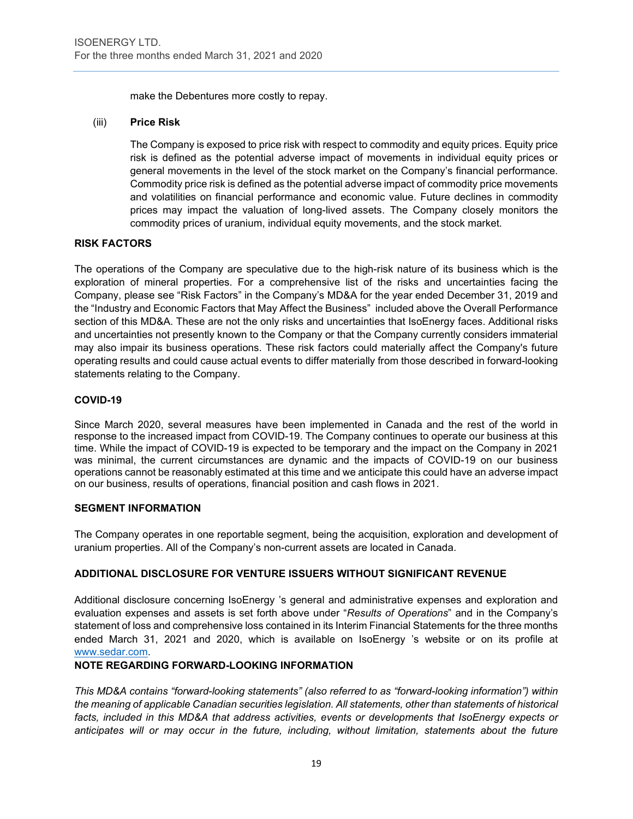make the Debentures more costly to repay.

#### (iii) **Price Risk**

The Company is exposed to price risk with respect to commodity and equity prices. Equity price risk is defined as the potential adverse impact of movements in individual equity prices or general movements in the level of the stock market on the Company's financial performance. Commodity price risk is defined as the potential adverse impact of commodity price movements and volatilities on financial performance and economic value. Future declines in commodity prices may impact the valuation of long-lived assets. The Company closely monitors the commodity prices of uranium, individual equity movements, and the stock market.

#### **RISK FACTORS**

The operations of the Company are speculative due to the high-risk nature of its business which is the exploration of mineral properties. For a comprehensive list of the risks and uncertainties facing the Company, please see "Risk Factors" in the Company's MD&A for the year ended December 31, 2019 and the "Industry and Economic Factors that May Affect the Business" included above the Overall Performance section of this MD&A. These are not the only risks and uncertainties that IsoEnergy faces. Additional risks and uncertainties not presently known to the Company or that the Company currently considers immaterial may also impair its business operations. These risk factors could materially affect the Company's future operating results and could cause actual events to differ materially from those described in forward-looking statements relating to the Company.

#### **COVID-19**

Since March 2020, several measures have been implemented in Canada and the rest of the world in response to the increased impact from COVID-19. The Company continues to operate our business at this time. While the impact of COVID-19 is expected to be temporary and the impact on the Company in 2021 was minimal, the current circumstances are dynamic and the impacts of COVID-19 on our business operations cannot be reasonably estimated at this time and we anticipate this could have an adverse impact on our business, results of operations, financial position and cash flows in 2021.

#### **SEGMENT INFORMATION**

The Company operates in one reportable segment, being the acquisition, exploration and development of uranium properties. All of the Company's non-current assets are located in Canada.

# **ADDITIONAL DISCLOSURE FOR VENTURE ISSUERS WITHOUT SIGNIFICANT REVENUE**

Additional disclosure concerning IsoEnergy 's general and administrative expenses and exploration and evaluation expenses and assets is set forth above under "*Results of Operations*" and in the Company's statement of loss and comprehensive loss contained in its Interim Financial Statements for the three months ended March 31, 2021 and 2020, which is available on IsoEnergy 's website or on its profile at [www.sedar.com.](http://www.sedar.com/)

#### **NOTE REGARDING FORWARD-LOOKING INFORMATION**

*This MD&A contains "forward-looking statements" (also referred to as "forward-looking information") within the meaning of applicable Canadian securities legislation. All statements, other than statements of historical facts, included in this MD&A that address activities, events or developments that IsoEnergy expects or anticipates will or may occur in the future, including, without limitation, statements about the future*